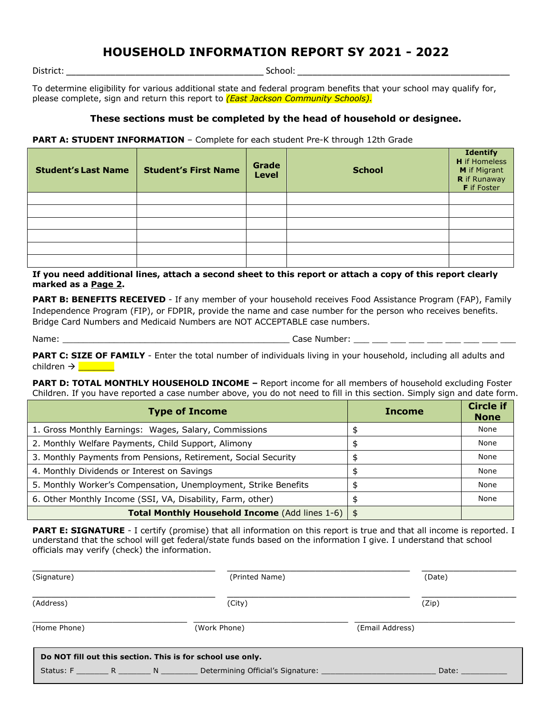## **HOUSEHOLD INFORMATION REPORT SY 2021 - 2022**

District: \_\_\_\_\_\_\_\_\_\_\_\_\_\_\_\_\_\_\_\_\_\_\_\_\_\_\_\_\_\_\_\_\_\_\_\_\_\_\_\_ School: \_\_\_\_\_\_\_\_\_\_\_\_\_\_\_\_\_\_\_\_\_\_\_\_\_\_\_\_\_\_\_\_\_\_\_\_\_\_\_\_\_\_\_

To determine eligibility for various additional state and federal program benefits that your school may qualify for, please complete, sign and return this report to *(East Jackson Community Schools).*

## **These sections must be completed by the head of household or designee.**

**PART A: STUDENT INFORMATION** – Complete for each student Pre-K through 12th Grade

| <b>Student's Last Name</b> | <b>Student's First Name</b> | Grade<br><b>Level</b> | <b>School</b> | <b>Identify</b><br><b>H</b> if Homeless<br>M if Migrant<br>R if Runaway<br><b>F</b> if Foster |
|----------------------------|-----------------------------|-----------------------|---------------|-----------------------------------------------------------------------------------------------|
|                            |                             |                       |               |                                                                                               |
|                            |                             |                       |               |                                                                                               |
|                            |                             |                       |               |                                                                                               |
|                            |                             |                       |               |                                                                                               |
|                            |                             |                       |               |                                                                                               |
|                            |                             |                       |               |                                                                                               |

**If you need additional lines, attach a second sheet to this report or attach a copy of this report clearly marked as a Page 2.**

**PART B: BENEFITS RECEIVED** - If any member of your household receives Food Assistance Program (FAP), Family Independence Program (FIP), or FDPIR, provide the name and case number for the person who receives benefits. Bridge Card Numbers and Medicaid Numbers are NOT ACCEPTABLE case numbers.

Name: \_\_\_\_\_\_\_\_\_\_\_\_\_\_\_\_\_\_\_\_\_\_\_\_\_\_\_\_\_\_\_\_\_\_\_\_\_\_\_\_\_\_\_\_ Case Number: \_\_\_ \_\_\_ \_\_\_ \_\_\_ \_\_\_ \_\_\_ \_\_\_ \_\_\_ \_\_\_

PART C: SIZE OF FAMILY - Enter the total number of individuals living in your household, including all adults and children à \_\_\_\_\_\_\_

**PART D: TOTAL MONTHLY HOUSEHOLD INCOME –** Report income for all members of household excluding Foster Children. If you have reported a case number above, you do not need to fill in this section. Simply sign and date form.

| <b>Type of Income</b>                                           | <b>Income</b> | <b>Circle if</b><br><b>None</b> |
|-----------------------------------------------------------------|---------------|---------------------------------|
| 1. Gross Monthly Earnings: Wages, Salary, Commissions           |               | None                            |
| 2. Monthly Welfare Payments, Child Support, Alimony             |               | None                            |
| 3. Monthly Payments from Pensions, Retirement, Social Security  |               | None                            |
| 4. Monthly Dividends or Interest on Savings                     | \$            | None                            |
| 5. Monthly Worker's Compensation, Unemployment, Strike Benefits |               | None                            |
| 6. Other Monthly Income (SSI, VA, Disability, Farm, other)      |               | None                            |
| Total Monthly Household Income (Add lines 1-6)   \$             |               |                                 |

**PART E: SIGNATURE** - I certify (promise) that all information on this report is true and that all income is reported. I understand that the school will get federal/state funds based on the information I give. I understand that school officials may verify (check) the information.

| (Signature)                                    | (Printed Name)                                             | (Date)          |
|------------------------------------------------|------------------------------------------------------------|-----------------|
| (Address)                                      | (City)                                                     | (Zip)           |
| (Home Phone)                                   | (Work Phone)                                               | (Email Address) |
|                                                | Do NOT fill out this section. This is for school use only. |                 |
| Status: F __________ R __________ N __________ | Determining Official's Signature:                          | Date:           |